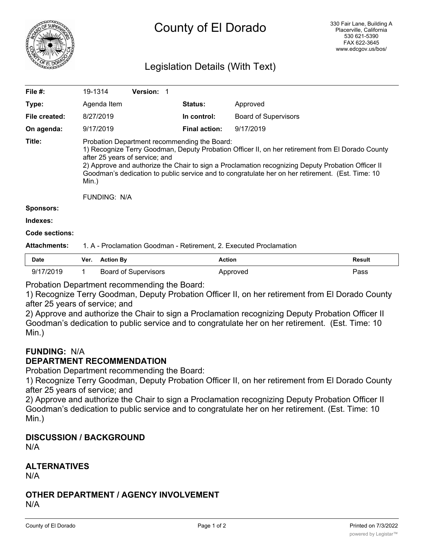

# County of El Dorado

## Legislation Details (With Text)

| File #:          | 19-1314                                                                                                                                                                                                                                                                                                                                                                                                              | <b>Version: 1</b> |                      |                             |  |  |  |
|------------------|----------------------------------------------------------------------------------------------------------------------------------------------------------------------------------------------------------------------------------------------------------------------------------------------------------------------------------------------------------------------------------------------------------------------|-------------------|----------------------|-----------------------------|--|--|--|
| Type:            | Agenda Item                                                                                                                                                                                                                                                                                                                                                                                                          |                   | <b>Status:</b>       | Approved                    |  |  |  |
| File created:    | 8/27/2019                                                                                                                                                                                                                                                                                                                                                                                                            |                   | In control:          | <b>Board of Supervisors</b> |  |  |  |
| On agenda:       | 9/17/2019                                                                                                                                                                                                                                                                                                                                                                                                            |                   | <b>Final action:</b> | 9/17/2019                   |  |  |  |
| Title:           | Probation Department recommending the Board:<br>1) Recognize Terry Goodman, Deputy Probation Officer II, on her retirement from El Dorado County<br>after 25 years of service; and<br>2) Approve and authorize the Chair to sign a Proclamation recognizing Deputy Probation Officer II<br>Goodman's dedication to public service and to congratulate her on her retirement. (Est. Time: 10<br>Min.)<br>FUNDING: N/A |                   |                      |                             |  |  |  |
| <b>Sponsors:</b> |                                                                                                                                                                                                                                                                                                                                                                                                                      |                   |                      |                             |  |  |  |
| Indexes:         |                                                                                                                                                                                                                                                                                                                                                                                                                      |                   |                      |                             |  |  |  |

#### **Code sections:**

#### **Attachments:** 1. A - Proclamation Goodman - Retirement, 2. Executed Proclamation

| <b>Date</b> | Ver. | Action By                   | <b>Action</b> | <b>Result</b> |
|-------------|------|-----------------------------|---------------|---------------|
| 9/17/2019   |      | <b>Board of Supervisors</b> | Approved      | Pass          |

Probation Department recommending the Board:

1) Recognize Terry Goodman, Deputy Probation Officer II, on her retirement from El Dorado County after 25 years of service; and

2) Approve and authorize the Chair to sign a Proclamation recognizing Deputy Probation Officer II Goodman's dedication to public service and to congratulate her on her retirement. (Est. Time: 10 Min.)

## **FUNDING:** N/A

#### **DEPARTMENT RECOMMENDATION**

Probation Department recommending the Board:

1) Recognize Terry Goodman, Deputy Probation Officer II, on her retirement from El Dorado County after 25 years of service; and

2) Approve and authorize the Chair to sign a Proclamation recognizing Deputy Probation Officer II Goodman's dedication to public service and to congratulate her on her retirement. (Est. Time: 10 Min.)

## **DISCUSSION / BACKGROUND**

N/A

## **ALTERNATIVES**

N/A

#### **OTHER DEPARTMENT / AGENCY INVOLVEMENT** N/A